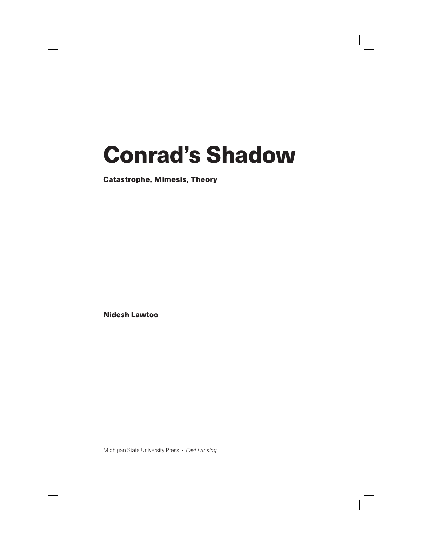# Conrad's Shadow

Catastrophe, Mimesis, Theory

Nidesh Lawtoo

Michigan State University Press · East Lansing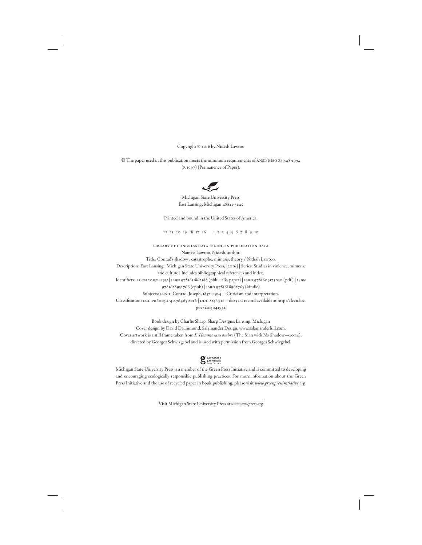Copyright © 2016 by Nidesh Lawtoo

 $\circledast$  The paper used in this publication meets the minimum requirements of ANSI/NISO Z39.48-1992 (R 1997) (Permanence of Paper).



Michigan State University Press East Lansing, Michigan 48823-5245

Printed and bound in the United States of America.

22 21 20 19 18 17 16 1 2 3 4 5 6 7 8 9 10

library of congress cataloging-in-publication data Names: Lawtoo, Nidesh, author. Title: Conrad's shadow : catastrophe, mimesis, theory / Nidesh Lawtoo. Description: East Lansing : Michigan State University Press, [2016] | Series: Studies in violence, mimesis, and culture | Includes bibliographical references and index. Identifiers: lccn 2015041932| isbn 9781611862188 (pbk. : alk. paper) | isbn 9781609175030 (pdf ) | isbn 9781628952766 (epub) | isbn 9781628962765 (kindle) Subjects: lcsh: Conrad, Joseph, 1857–1924—Criticism and interpretation. Classification: LCC PR6005.04 Z76465 2016 | DDC 823/.912-dc23 LC record available at http://lccn.loc. gov/2015041932

Book design by Charlie Sharp, Sharp Des!gns, Lansing, Michigan Cover design by David Drummond, Salamander Design, www.salamanderhill.com. Cover artwork is a still frame taken from *L' Homme sans ombre* (The Man with No Shadow—2004), directed by Georges Schwizgebel and is used with permission from Georges Schwizgebel.



Michigan State University Press is a member of the Green Press Initiative and is committed to developing and encouraging ecologically responsible publishing practices. For more information about the Green Press Initiative and the use of recycled paper in book publishing, please visit *www.greenpressinitiative.org.*

Visit Michigan State University Press at *www.msupress.org*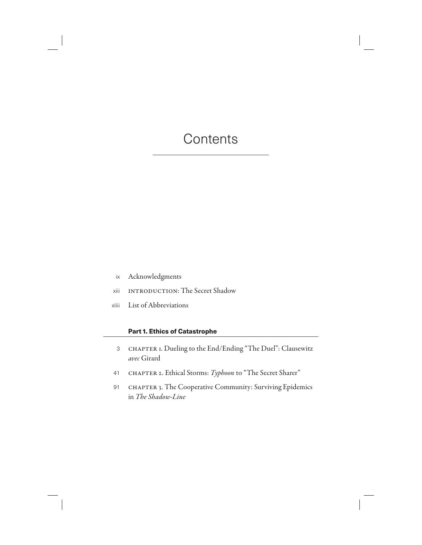## **Contents**

- ix Acknowledgments
- xiii introduction: The Secret Shadow
- xliii List of Abbreviations

### Part 1. Ethics of Catastrophe

- 3 CHAPTER 1. Dueling to the End/Ending "The Duel": Clausewitz *avec* Girard
- 41 chapter 2. Ethical Storms: *Typhoon* to "The Secret Sharer"
- 91 CHAPTER 3. The Cooperative Community: Surviving Epidemics in *The Shadow-Line*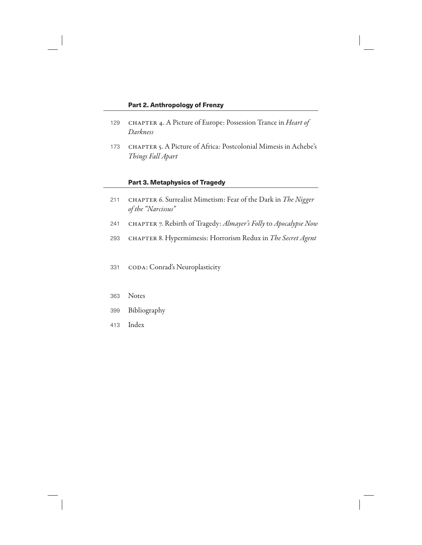#### Part 2. Anthropology of Frenzy

- 129 chapter 4. A Picture of Europe: Possession Trance in *Heart of Darkness*
- 173 CHAPTER 5. A Picture of Africa: Postcolonial Mimesis in Achebe's *Things Fall Apart*

#### Part 3. Metaphysics of Tragedy

- 211 chapter 6. Surrealist Mimetism: Fear of the Dark in *The Nigger of the "Narcissus"*
- 241 chapter 7. Rebirth of Tragedy: *Almayer's Folly* to *Apocalypse Now*
- 293 chapter 8. Hypermimesis: Horrorism R edux in *The Secret Agent*
- 331 CODA: Conrad's Neuroplasticity
- 363 Notes
- 399 Bibliography
- 413 Index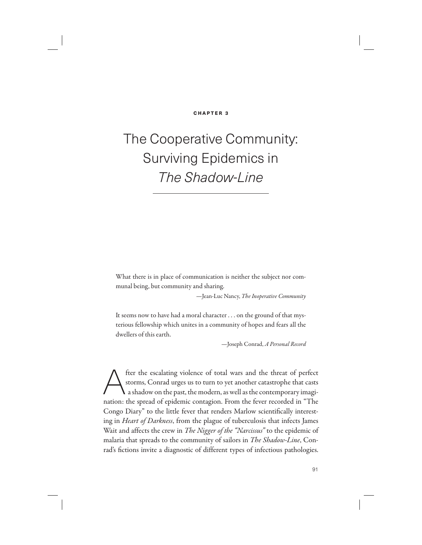#### CHAPTER 3

## The Cooperative Community: Surviving Epidemics in The Shadow-Line

What there is in place of communication is neither the subject nor communal being, but community and sharing.

—Jean-Luc Nancy, *The Inoperative Community*

It seems now to have had a moral character . . . on the ground of that mysterious fellowship which unites in a community of hopes and fears all the dwellers of this earth.

—Joseph Conrad, *A Personal Record* 

fter the escalating violence of total wars and the threat of perfect<br>storms, Conrad urges us to turn to yet another catastrophe that casts<br>a shadow on the past, the modern, as well as the contemporary imagi-<br>national to sm storms, Conrad urges us to turn to yet another catastrophe that casts a shadow on the past, the modern, as well as the contemporary imagination: the spread of epidemic contagion. From the fever recorded in "The Congo Diary" to the little fever that renders Marlow scientifically interesting in *Heart of Darkness*, from the plague of tuberculosis that infects James Wait and affects the crew in *The Nigger of the "Narcissus"* to the epidemic of malaria that spreads to the community of sailors in *The Shadow-Line*, Conrad's fictions invite a diagnostic of different types of infectious pathologies.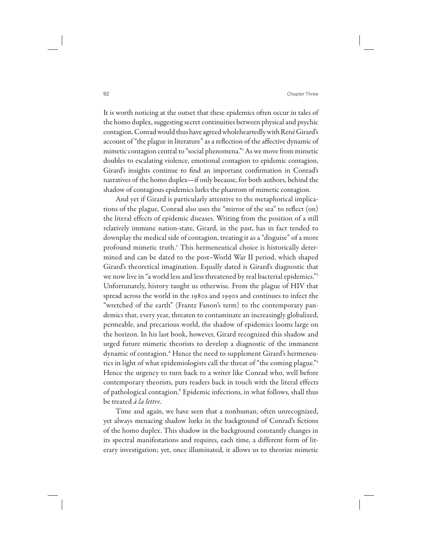It is worth noticing at the outset that these epidemics often occur in tales of the homo duplex, suggesting secret continuities between physical and psychic contagion. Conrad would thus have agreed wholeheartedly with René Girard's account of "the plague in literature" as a reflection of the affective dynamic of mimetic contagion central to "social phenomena."1 As we move from mimetic doubles to escalating violence, emotional contagion to epidemic contagion, Girard's insights continue to find an important confirmation in Conrad's narratives of the homo duplex—if only because, for both authors, behind the shadow of contagious epidemics lurks the phantom of mimetic contagion.

And yet if Girard is particularly attentive to the metaphorical implications of the plague, Conrad also uses the "mirror of the sea" to reflect (on) the literal effects of epidemic diseases. Writing from the position of a still relatively immune nation-state, Girard, in the past, has in fact tended to downplay the medical side of contagion, treating it as a "disguise" of a more profound mimetic truth.<sup>2</sup> This hermeneutical choice is historically determined and can be dated to the post–World War II period, which shaped Girard's theoretical imagination. Equally dated is Girard's diagnostic that we now live in "a world less and less threatened by real bacterial epidemics."<sup>3</sup> Unfortunately, history taught us otherwise. From the plague of HIV that spread across the world in the 1980s and 1990s and continues to infect the "wretched of the earth" (Frantz Fanon's term) to the contemporary pandemics that, every year, threaten to contaminate an increasingly globalized, permeable, and precarious world, the shadow of epidemics looms large on the horizon. In his last book, however, Girard recognized this shadow and urged future mimetic theorists to develop a diagnostic of the immanent dynamic of contagion.<sup>4</sup> Hence the need to supplement Girard's hermeneutics in light of what epidemiologists call the threat of "the coming plague."<sup>5</sup> Hence the urgency to turn back to a writer like Conrad who, well before contemporary theorists, puts readers back in touch with the literal effects of pathological contagion.<sup>6</sup> Epidemic infections, in what follows, shall thus be treated *à la lettre*.

Time and again, we have seen that a nonhuman, often unrecognized, yet always menacing shadow lurks in the background of Conrad's fictions of the homo duplex. This shadow in the background constantly changes in its spectral manifestations and requires, each time, a different form of literary investigation; yet, once illuminated, it allows us to theorize mimetic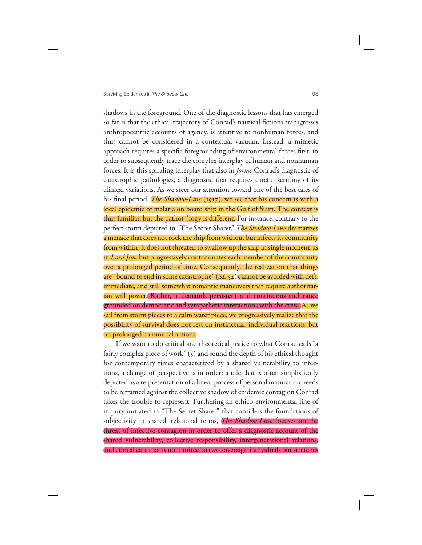shadows in the foreground. One of the diagnostic lessons that has emerged so far is that the ethical trajectory of Conrad's nautical fictions transgresses anthropocentric accounts of agency, is attentive to nonhuman forces, and thus cannot be considered in a contextual vacuum. Instead, a mimetic approach requires a specific foregrounding of environmental forces first, in order to subsequently trace the complex interplay of human and nonhuman forces. It is this spiraling interplay that also in-*forms* Conrad's diagnostic of catastrophic pathologies, a diagnostic that requires careful scrutiny of its clinical variations. As we steer our attention toward one of the best tales of his final period, *The Shadow-Line* (1917), we see that his concern is with a local epidemic of malaria on board ship in the Gulf of Siam. The context is thus familiar, but the patho(-)logy is different. For instance, contrary to the perfect storm depicted in "The Secret Sharer," *The Shadow-Line* dramatizes a menace that does not rock the ship from without but infects its community from within; it does not threaten to swallow up the ship in single moment, as in *Lord Jim*, but progressively contaminates each member of the community over a prolonged period of time. Consequently, the realization that things are "bound to end in some catastrophe" (*SL* 52) cannot be avoided with deft, immediate, and still somewhat romantic maneuvers that require authoritarian will power. Rather, it demands persistent and continuous endurance grounded on democratic and sympathetic interactions with the crew. As we sail from storm pieces to a calm water piece, we progressively realize that the possibility of survival does not rest on instinctual, individual reactions, but on prolonged communal actions.

If we want to do critical and theoretical justice to what Conrad calls "a fairly complex piece of work"  $\zeta$  and sound the depth of his ethical thought for contemporary times characterized by a shared vulnerability to infections, a change of perspective is in order: a tale that is often simplistically depicted as a re-presentation of a linear process of personal maturation needs to be reframed against the collective shadow of epidemic contagion Conrad takes the trouble to represent. Furthering an ethico-environmental line of inquiry initiated in "The Secret Sharer" that considers the foundations of subjectivity in shared, relational terms, *The Shadow-Line* focuses on the threat of infective contagion in order to offer a diagnostic account of the shared vulnerability, collective responsibility, intergenerational relations, and ethical care that is not limited to two sovereign individuals but stretches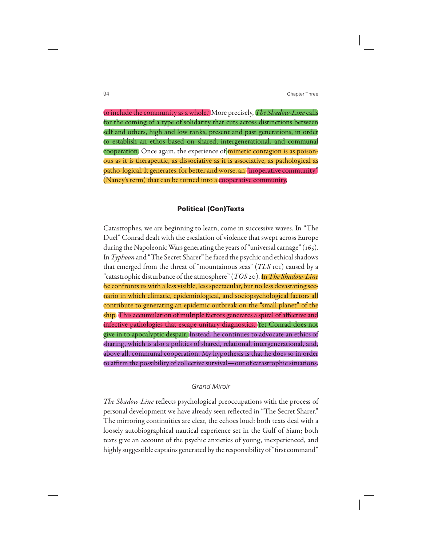to include the community as a whole.7 More precisely, *The Shadow-Line* calls for the coming of a type of solidarity that cuts across distinctions between self and others, high and low ranks, present and past generations, in order to establish an ethos based on shared, intergenerational, and communal cooperation. Once again, the experience of mimetic contagion is as poisonous as it is therapeutic, as dissociative as it is associative, as pathological as patho-logical. It generates, for better and worse, an "inoperative community" (Nancy's term) that can be turned into a cooperative community.

#### Political (Con)Texts

Catastrophes, we are beginning to learn, come in successive waves. In "The Duel" Conrad dealt with the escalation of violence that swept across Europe during the Napoleonic Wars generating the years of "universal carnage" (165). In *Typhoon* and "The Secret Sharer" he faced the psychic and ethical shadows that emerged from the threat of "mountainous seas" (*TLS* 101) caused by a "catastrophic disturbance of the atmosphere" (*TOS* 20). In *The Shadow-Line* he confronts us with a less visible, less spectacular, but no less devastating scenario in which climatic, epidemiological, and sociopsychological factors all contribute to generating an epidemic outbreak on the "small planet" of the ship. This accumulation of multiple factors generates a spiral of affective and infective pathologies that escape unitary diagnostics. Yet Conrad does not give in to apocalyptic despair. Instead, he continues to advocate an ethics of sharing, which is also a politics of shared, relational, intergenerational, and, above all, communal cooperation. My hypothesis is that he does so in order to affirm the possibility of collective survival—out of catastrophic situations.

#### Grand Miroir

*The Shadow-Line* reflects psychological preoccupations with the process of personal development we have already seen reflected in "The Secret Sharer." The mirroring continuities are clear, the echoes loud: both texts deal with a loosely autobiographical nautical experience set in the Gulf of Siam; both texts give an account of the psychic anxieties of young, inexperienced, and highly suggestible captains generated by the responsibility of "first command"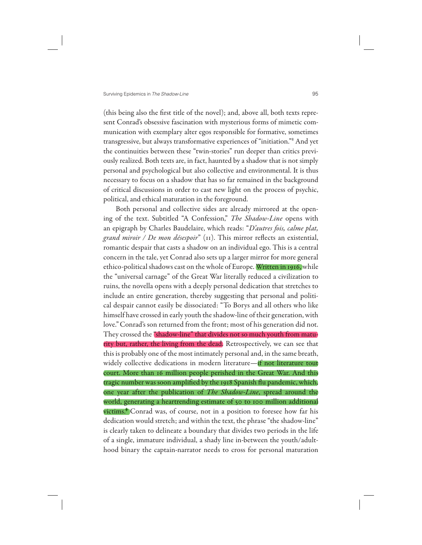(this being also the first title of the novel); and, above all, both texts represent Conrad's obsessive fascination with mysterious forms of mimetic communication with exemplary alter egos responsible for formative, sometimes transgressive, but always transformative experiences of "initiation."8 And yet the continuities between these "twin-stories" run deeper than critics previously realized. Both texts are, in fact, haunted by a shadow that is not simply personal and psychological but also collective and environmental. It is thus necessary to focus on a shadow that has so far remained in the background of critical discussions in order to cast new light on the process of psychic, political, and ethical maturation in the foreground.

Both personal and collective sides are already mirrored at the opening of the text. Subtitled "A Confession," *The Shadow-Line* opens with an epigraph by Charles Baudelaire, which reads: "*D'autres fois, calme plat, grand miroir / De mon désespoir*" (11). This mirror reflects an existential, romantic despair that casts a shadow on an individual ego. This is a central concern in the tale, yet Conrad also sets up a larger mirror for more general ethico-political shadows cast on the whole of Europe. Written in 1916, while the "universal carnage" of the Great War literally reduced a civilization to ruins, the novella opens with a deeply personal dedication that stretches to include an entire generation, thereby suggesting that personal and political despair cannot easily be dissociated: "To Borys and all others who like himself have crossed in early youth the shadow-line of their generation, with love."Conrad's son returned from the front; most of his generation did not. They crossed the "shadow-line" that divides not so much youth from maturity but, rather, the living from the dead. Retrospectively, we can see that this is probably one of the most intimately personal and, in the same breath, widely collective dedications in modern literature—if not literature tout court. More than 16 million people perished in the Great War. And this tragic number was soon amplified by the 1918 Spanish flu pandemic, which, one year after the publication of *The Shadow-Line*, spread around the world, generating a heartrending estimate of 50 to 100 million additional victims.<sup>9</sup> Conrad was, of course, not in a position to foresee how far his dedication would stretch; and within the text, the phrase "the shadow-line" is clearly taken to delineate a boundary that divides two periods in the life of a single, immature individual, a shady line in-between the youth/adulthood binary the captain-narrator needs to cross for personal maturation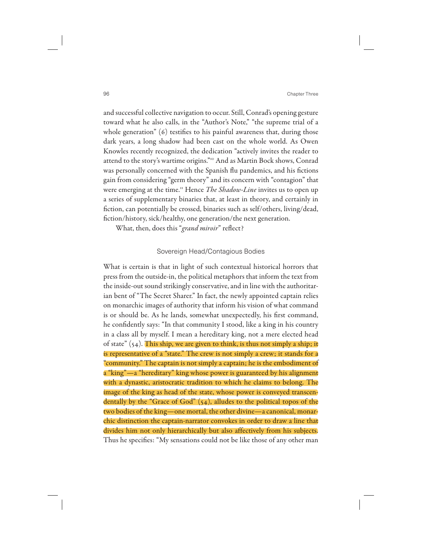and successful collective navigation to occur. Still, Conrad's opening gesture toward what he also calls, in the "Author's Note," "the supreme trial of a whole generation" (6) testifies to his painful awareness that, during those dark years, a long shadow had been cast on the whole world. As Owen Knowles recently recognized, the dedication "actively invites the reader to attend to the story's wartime origins."10 And as Martin Bock shows, Conrad was personally concerned with the Spanish flu pandemics, and his fictions gain from considering "germ theory" and its concern with "contagion" that were emerging at the time.<sup>11</sup> Hence *The Shadow-Line* invites us to open up a series of supplementary binaries that, at least in theory, and certainly in fiction, can potentially be crossed, binaries such as self/others, living/dead, fiction/history, sick/healthy, one generation/the next generation.

What, then, does this "*grand miroir*" reflect?

#### Sovereign Head/Contagious Bodies

What is certain is that in light of such contextual historical horrors that press from the outside-in, the political metaphors that inform the text from the inside-out sound strikingly conservative, and in line with the authoritarian bent of "The Secret Sharer." In fact, the newly appointed captain relies on monarchic images of authority that inform his vision of what command is or should be. As he lands, somewhat unexpectedly, his first command, he confidently says: "In that community I stood, like a king in his country in a class all by myself. I mean a hereditary king, not a mere elected head of state"  $(54)$ . This ship, we are given to think, is thus not simply a ship; it is representative of a "state." The crew is not simply a crew; it stands for a "community." The captain is not simply a captain; he is the embodiment of a "king"—a "hereditary" king whose power is guaranteed by his alignment with a dynastic, aristocratic tradition to which he claims to belong. The image of the king as head of the state, whose power is conveyed transcendentally by the "Grace of God" (54), alludes to the political topos of the two bodies of the king—one mortal, the other divine—a canonical, monarchic distinction the captain-narrator convokes in order to draw a line that divides him not only hierarchically but also affectively from his subjects. Thus he specifies: "My sensations could not be like those of any other man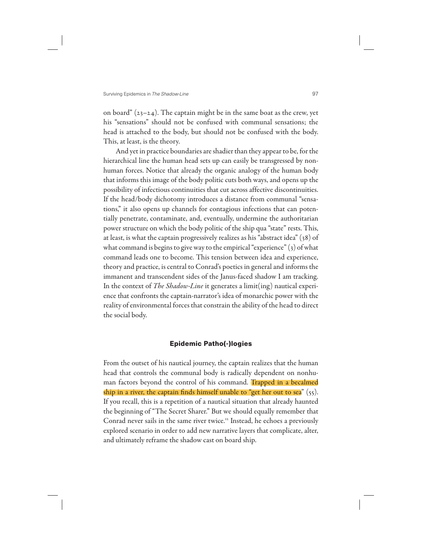on board" (23–24). The captain might be in the same boat as the crew, yet his "sensations" should not be confused with communal sensations; the head is attached to the body, but should not be confused with the body. This, at least, is the theory.

And yet in practice boundaries are shadier than they appear to be, for the hierarchical line the human head sets up can easily be transgressed by nonhuman forces. Notice that already the organic analogy of the human body that informs this image of the body politic cuts both ways, and opens up the possibility of infectious continuities that cut across affective discontinuities. If the head/body dichotomy introduces a distance from communal "sensations," it also opens up channels for contagious infections that can potentially penetrate, contaminate, and, eventually, undermine the authoritarian power structure on which the body politic of the ship qua "state" rests. This, at least, is what the captain progressively realizes as his "abstract idea" (38) of what command is begins to give way to the empirical "experience" (3) of what command leads one to become. This tension between idea and experience, theory and practice, is central to Conrad's poetics in general and informs the immanent and transcendent sides of the Janus-faced shadow I am tracking. In the context of *The Shadow-Line* it generates a limit(ing) nautical experience that confronts the captain-narrator's idea of monarchic power with the reality of environmental forces that constrain the ability of the head to direct the social body.

#### Epidemic Patho(-)logies

From the outset of his nautical journey, the captain realizes that the human head that controls the communal body is radically dependent on nonhuman factors beyond the control of his command. Trapped in a becalmed ship in a river, the captain finds himself unable to "get her out to sea" (55). If you recall, this is a repetition of a nautical situation that already haunted the beginning of "The Secret Sharer." But we should equally remember that Conrad never sails in the same river twice.<sup>12</sup> Instead, he echoes a previously explored scenario in order to add new narrative layers that complicate, alter, and ultimately reframe the shadow cast on board ship.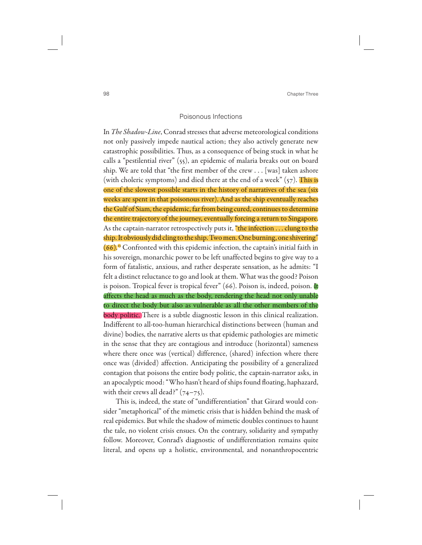98 Chapter Three

#### Poisonous Infections

In *The Shadow-Line*, Conrad stresses that adverse meteorological conditions not only passively impede nautical action; they also actively generate new catastrophic possibilities. Thus, as a consequence of being stuck in what he calls a "pestilential river" (55), an epidemic of malaria breaks out on board ship. We are told that "the first member of the crew . . . [was] taken ashore (with choleric symptoms) and died there at the end of a week"  $(57)$ . This is one of the slowest possible starts in the history of narratives of the sea (six weeks are spent in that poisonous river). And as the ship eventually reaches the Gulf of Siam, the epidemic, far from being cured, continues to determine the entire trajectory of the journey, eventually forcing a return to Singapore. As the captain-narrator retrospectively puts it, "the infection . . . clung to the ship. It obviously did cling to the ship. Two men. One burning, one shivering"  $(66).$ <sup>3</sup> Confronted with this epidemic infection, the captain's initial faith in his sovereign, monarchic power to be left unaffected begins to give way to a form of fatalistic, anxious, and rather desperate sensation, as he admits: "I felt a distinct reluctance to go and look at them. What was the good? Poison is poison. Tropical fever is tropical fever" (66). Poison is, indeed, poison. It affects the head as much as the body, rendering the head not only unable to direct the body but also as vulnerable as all the other members of the body politic. There is a subtle diagnostic lesson in this clinical realization. Indifferent to all-too-human hierarchical distinctions between (human and divine) bodies, the narrative alerts us that epidemic pathologies are mimetic in the sense that they are contagious and introduce (horizontal) sameness where there once was (vertical) difference, (shared) infection where there once was (divided) affection. Anticipating the possibility of a generalized contagion that poisons the entire body politic, the captain-narrator asks, in an apocalyptic mood: "Who hasn't heard of ships found floating, haphazard, with their crews all dead?"  $(74-75)$ .

This is, indeed, the state of "undifferentiation" that Girard would consider "metaphorical" of the mimetic crisis that is hidden behind the mask of real epidemics. But while the shadow of mimetic doubles continues to haunt the tale, no violent crisis ensues. On the contrary, solidarity and sympathy follow. Moreover, Conrad's diagnostic of undifferentiation remains quite literal, and opens up a holistic, environmental, and nonanthropocentric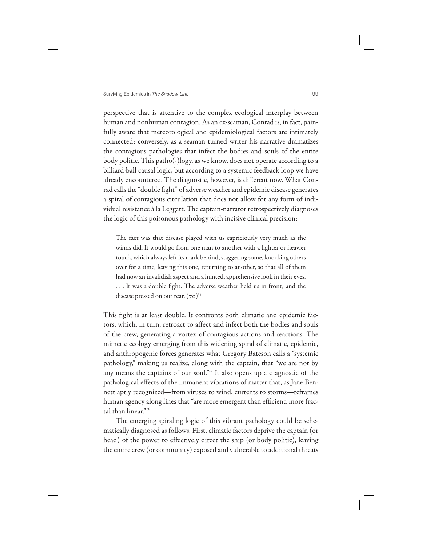perspective that is attentive to the complex ecological interplay between human and nonhuman contagion. As an ex-seaman, Conrad is, in fact, painfully aware that meteorological and epidemiological factors are intimately connected; conversely, as a seaman turned writer his narrative dramatizes the contagious pathologies that infect the bodies and souls of the entire body politic. This patho(-)logy, as we know, does not operate according to a billiard-ball causal logic, but according to a systemic feedback loop we have already encountered. The diagnostic, however, is different now. What Conrad calls the "double fight" of adverse weather and epidemic disease generates a spiral of contagious circulation that does not allow for any form of individual resistance à la Leggatt. The captain-narrator retrospectively diagnoses the logic of this poisonous pathology with incisive clinical precision:

The fact was that disease played with us capriciously very much as the winds did. It would go from one man to another with a lighter or heavier touch, which always left its mark behind, staggering some, knocking others over for a time, leaving this one, returning to another, so that all of them had now an invalidish aspect and a hunted, apprehensive look in their eyes. . . . It was a double fight. The adverse weather held us in front; and the disease pressed on our rear.  $(70)^{14}$ 

This fight is at least double. It confronts both climatic and epidemic factors, which, in turn, retroact to affect and infect both the bodies and souls of the crew, generating a vortex of contagious actions and reactions. The mimetic ecology emerging from this widening spiral of climatic, epidemic, and anthropogenic forces generates what Gregory Bateson calls a "systemic pathology," making us realize, along with the captain, that "we are not by any means the captains of our soul."<sup>315</sup> It also opens up a diagnostic of the pathological effects of the immanent vibrations of matter that, as Jane Bennett aptly recognized—from viruses to wind, currents to storms—reframes human agency along lines that "are more emergent than efficient, more fractal than linear."<sup>16</sup>

The emerging spiraling logic of this vibrant pathology could be schematically diagnosed as follows. First, climatic factors deprive the captain (or head) of the power to effectively direct the ship (or body politic), leaving the entire crew (or community) exposed and vulnerable to additional threats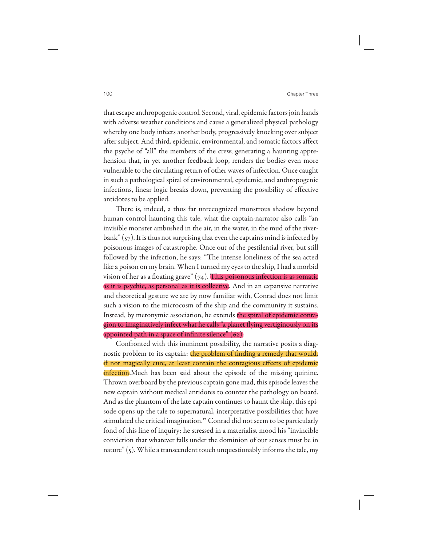that escape anthropogenic control. Second, viral, epidemic factors join hands with adverse weather conditions and cause a generalized physical pathology whereby one body infects another body, progressively knocking over subject after subject. And third, epidemic, environmental, and somatic factors affect the psyche of "all" the members of the crew, generating a haunting apprehension that, in yet another feedback loop, renders the bodies even more vulnerable to the circulating return of other waves of infection. Once caught in such a pathological spiral of environmental, epidemic, and anthropogenic infections, linear logic breaks down, preventing the possibility of effective antidotes to be applied.

There is, indeed, a thus far unrecognized monstrous shadow beyond human control haunting this tale, what the captain-narrator also calls "an invisible monster ambushed in the air, in the water, in the mud of the riverbank" (57). It is thus not surprising that even the captain's mind is infected by poisonous images of catastrophe. Once out of the pestilential river, but still followed by the infection, he says: "The intense loneliness of the sea acted like a poison on my brain. When I turned my eyes to the ship, I had a morbid vision of her as a floating grave"  $(74)$ . This poisonous infection is as somatic as it is psychic, as personal as it is collective. And in an expansive narrative and theoretical gesture we are by now familiar with, Conrad does not limit such a vision to the microcosm of the ship and the community it sustains. Instead, by metonymic association, he extends the spiral of epidemic contagion to imaginatively infect what he calls "a planet flying vertiginously on its appointed path in a space of infinite silence" (62).

Confronted with this imminent possibility, the narrative posits a diagnostic problem to its captain: the problem of finding a remedy that would, if not magically cure, at least contain the contagious effects of epidemic infection.Much has been said about the episode of the missing quinine. Thrown overboard by the previous captain gone mad, this episode leaves the new captain without medical antidotes to counter the pathology on board. And as the phantom of the late captain continues to haunt the ship, this episode opens up the tale to supernatural, interpretative possibilities that have stimulated the critical imagination.<sup>17</sup> Conrad did not seem to be particularly fond of this line of inquiry: he stressed in a materialist mood his "invincible conviction that whatever falls under the dominion of our senses must be in nature"  $(s)$ . While a transcendent touch unquestionably informs the tale, my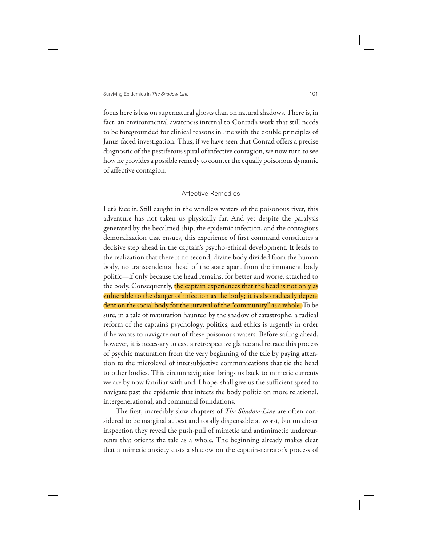focus here is less on supernatural ghosts than on natural shadows. There is, in fact, an environmental awareness internal to Conrad's work that still needs to be foregrounded for clinical reasons in line with the double principles of Janus-faced investigation. Thus, if we have seen that Conrad offers a precise diagnostic of the pestiferous spiral of infective contagion, we now turn to see how he provides a possible remedy to counter the equally poisonous dynamic of affective contagion.

### Affective Remedies

Let's face it. Still caught in the windless waters of the poisonous river, this adventure has not taken us physically far. And yet despite the paralysis generated by the becalmed ship, the epidemic infection, and the contagious demoralization that ensues, this experience of first command constitutes a decisive step ahead in the captain's psycho-ethical development. It leads to the realization that there is no second, divine body divided from the human body, no transcendental head of the state apart from the immanent body politic—if only because the head remains, for better and worse, attached to the body. Consequently, the captain experiences that the head is not only as vulnerable to the danger of infection as the body; it is also radically dependent on the social body for the survival of the "community" as a whole. To be sure, in a tale of maturation haunted by the shadow of catastrophe, a radical reform of the captain's psychology, politics, and ethics is urgently in order if he wants to navigate out of these poisonous waters. Before sailing ahead, however, it is necessary to cast a retrospective glance and retrace this process of psychic maturation from the very beginning of the tale by paying attention to the microlevel of intersubjective communications that tie the head to other bodies. This circumnavigation brings us back to mimetic currents we are by now familiar with and, I hope, shall give us the sufficient speed to navigate past the epidemic that infects the body politic on more relational, intergenerational, and communal foundations.

The first, incredibly slow chapters of *The Shadow-Line* are often considered to be marginal at best and totally dispensable at worst, but on closer inspection they reveal the push-pull of mimetic and antimimetic undercurrents that orients the tale as a whole. The beginning already makes clear that a mimetic anxiety casts a shadow on the captain-narrator's process of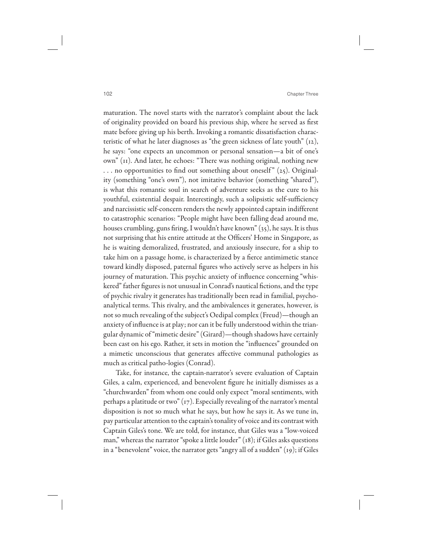maturation. The novel starts with the narrator's complaint about the lack of originality provided on board his previous ship, where he served as first mate before giving up his berth. Invoking a romantic dissatisfaction characteristic of what he later diagnoses as "the green sickness of late youth" (12), he says: "one expects an uncommon or personal sensation—a bit of one's own" (11). And later, he echoes: "There was nothing original, nothing new ... no opportunities to find out something about oneself"  $(z_5)$ . Originality (something "one's own"), not imitative behavior (something "shared"), is what this romantic soul in search of adventure seeks as the cure to his youthful, existential despair. Interestingly, such a solipsistic self-sufficiency and narcissistic self-concern renders the newly appointed captain indifferent to catastrophic scenarios: "People might have been falling dead around me, houses crumbling, guns firing, I wouldn't have known" (35), he says. It is thus not surprising that his entire attitude at the Officers' Home in Singapore, as he is waiting demoralized, frustrated, and anxiously insecure, for a ship to take him on a passage home, is characterized by a fierce antimimetic stance toward kindly disposed, paternal figures who actively serve as helpers in his journey of maturation. This psychic anxiety of influence concerning "whiskered" father figures is not unusual in Conrad's nautical fictions, and the type of psychic rivalry it generates has traditionally been read in familial, psychoanalytical terms. This rivalry, and the ambivalences it generates, however, is not so much revealing of the subject's Oedipal complex (Freud)—though an anxiety of influence is at play; nor can it be fully understood within the triangular dynamic of "mimetic desire" (Girard)—though shadows have certainly been cast on his ego. Rather, it sets in motion the "influences" grounded on a mimetic unconscious that generates affective communal pathologies as much as critical patho-logies (Conrad).

Take, for instance, the captain-narrator's severe evaluation of Captain Giles, a calm, experienced, and benevolent figure he initially dismisses as a "churchwarden" from whom one could only expect "moral sentiments, with perhaps a platitude or two" (17). Especially revealing of the narrator's mental disposition is not so much what he says, but how he says it. As we tune in, pay particular attention to the captain's tonality of voice and its contrast with Captain Giles's tone. We are told, for instance, that Giles was a "low-voiced man," whereas the narrator "spoke a little louder" (18); if Giles asks questions in a "benevolent" voice, the narrator gets "angry all of a sudden" (19); if Giles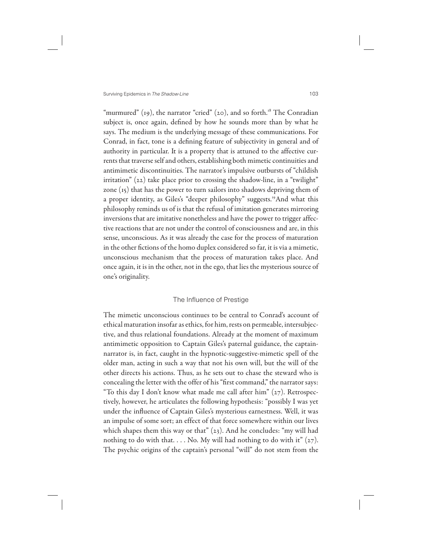"murmured" (19), the narrator "cried" (20), and so forth.<sup>18</sup> The Conradian subject is, once again, defined by how he sounds more than by what he says. The medium is the underlying message of these communications. For Conrad, in fact, tone is a defining feature of subjectivity in general and of authority in particular. It is a property that is attuned to the affective currents that traverse self and others, establishing both mimetic continuities and antimimetic discontinuities. The narrator's impulsive outbursts of "childish irritation" (22) take place prior to crossing the shadow-line, in a "twilight" zone (15) that has the power to turn sailors into shadows depriving them of a proper identity, as Giles's "deeper philosophy" suggests.19And what this philosophy reminds us of is that the refusal of imitation generates mirroring inversions that are imitative nonetheless and have the power to trigger affective reactions that are not under the control of consciousness and are, in this sense, unconscious. As it was already the case for the process of maturation in the other fictions of the homo duplex considered so far, it is via a mimetic, unconscious mechanism that the process of maturation takes place. And once again, it is in the other, not in the ego, that lies the mysterious source of one's originality.

#### The Influence of Prestige

The mimetic unconscious continues to be central to Conrad's account of ethical maturation insofar as ethics, for him, rests on permeable, intersubjective, and thus relational foundations. Already at the moment of maximum antimimetic opposition to Captain Giles's paternal guidance, the captainnarrator is, in fact, caught in the hypnotic-suggestive-mimetic spell of the older man, acting in such a way that not his own will, but the will of the other directs his actions. Thus, as he sets out to chase the steward who is concealing the letter with the offer of his "first command," the narrator says: "To this day I don't know what made me call after him"  $(z_7)$ . Retrospectively, however, he articulates the following hypothesis: "possibly I was yet under the influence of Captain Giles's mysterious earnestness. Well, it was an impulse of some sort; an effect of that force somewhere within our lives which shapes them this way or that" (23). And he concludes: "my will had nothing to do with that.  $\dots$  No. My will had nothing to do with it" (27). The psychic origins of the captain's personal "will" do not stem from the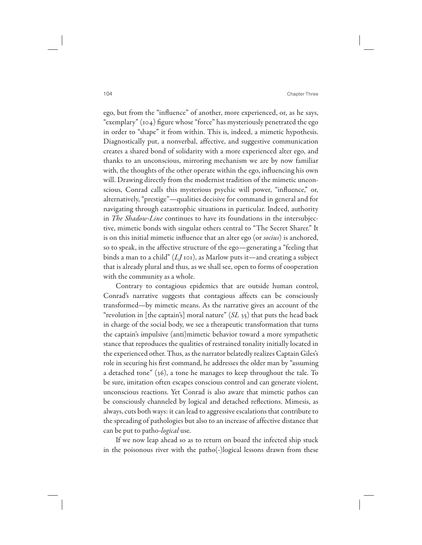ego, but from the "influence" of another, more experienced, or, as he says, "exemplary" (104) figure whose "force" has mysteriously penetrated the ego in order to "shape" it from within. This is, indeed, a mimetic hypothesis. Diagnostically put, a nonverbal, affective, and suggestive communication creates a shared bond of solidarity with a more experienced alter ego, and thanks to an unconscious, mirroring mechanism we are by now familiar with, the thoughts of the other operate within the ego, influencing his own will. Drawing directly from the modernist tradition of the mimetic unconscious, Conrad calls this mysterious psychic will power, "influence," or, alternatively, "prestige"—qualities decisive for command in general and for navigating through catastrophic situations in particular. Indeed, authority in *The Shadow-Line* continues to have its foundations in the intersubjective, mimetic bonds with singular others central to "The Secret Sharer." It is on this initial mimetic influence that an alter ego (or *socius*) is anchored, so to speak, in the affective structure of the ego—generating a "feeling that binds a man to a child" (*LJ* 101), as Marlow puts it—and creating a subject that is already plural and thus, as we shall see, open to forms of cooperation with the community as a whole.

Contrary to contagious epidemics that are outside human control, Conrad's narrative suggests that contagious affects can be consciously transformed—by mimetic means. As the narrative gives an account of the "revolution in [the captain's] moral nature" (*SL* 35) that puts the head back in charge of the social body, we see a therapeutic transformation that turns the captain's impulsive (anti)mimetic behavior toward a more sympathetic stance that reproduces the qualities of restrained tonality initially located in the experienced other. Thus, as the narrator belatedly realizes Captain Giles's role in securing his first command, he addresses the older man by "assuming a detached tone" (36), a tone he manages to keep throughout the tale. To be sure, imitation often escapes conscious control and can generate violent, unconscious reactions. Yet Conrad is also aware that mimetic pathos can be consciously channeled by logical and detached reflections. Mimesis, as always, cuts both ways: it can lead to aggressive escalations that contribute to the spreading of pathologies but also to an increase of affective distance that can be put to patho-*logical* use.

If we now leap ahead so as to return on board the infected ship stuck in the poisonous river with the patho(-)logical lessons drawn from these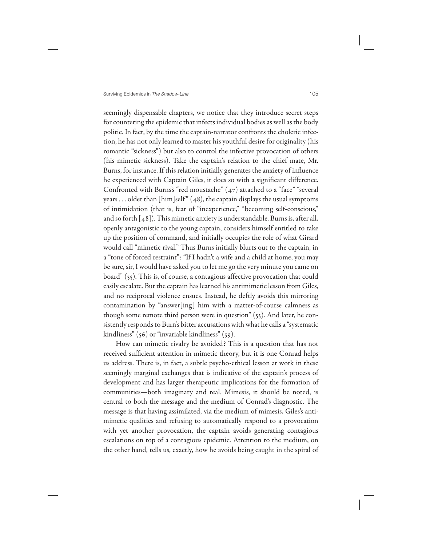seemingly dispensable chapters, we notice that they introduce secret steps for countering the epidemic that infects individual bodies as well as the body politic. In fact, by the time the captain-narrator confronts the choleric infection, he has not only learned to master his youthful desire for originality (his romantic "sickness") but also to control the infective provocation of others (his mimetic sickness). Take the captain's relation to the chief mate, Mr. Burns, for instance. If this relation initially generates the anxiety of influence he experienced with Captain Giles, it does so with a significant difference. Confronted with Burns's "red moustache"  $(47)$  attached to a "face" "several years ... older than [him]self"  $(48)$ , the captain displays the usual symptoms of intimidation (that is, fear of "inexperience," "becoming self-conscious," and so forth [48]). This mimetic anxiety is understandable. Burns is, after all, openly antagonistic to the young captain, considers himself entitled to take up the position of command, and initially occupies the role of what Girard would call "mimetic rival." Thus Burns initially blurts out to the captain, in a "tone of forced restraint": "If I hadn't a wife and a child at home, you may be sure, sir, I would have asked you to let me go the very minute you came on board" (55). This is, of course, a contagious affective provocation that could easily escalate. But the captain has learned his antimimetic lesson from Giles, and no reciprocal violence ensues. Instead, he deftly avoids this mirroring contamination by "answer[ing] him with a matter-of-course calmness as though some remote third person were in question" (55). And later, he consistently responds to Burn's bitter accusations with what he calls a "systematic kindliness"  $(56)$  or "invariable kindliness"  $(59)$ .

How can mimetic rivalry be avoided? This is a question that has not received sufficient attention in mimetic theory, but it is one Conrad helps us address. There is, in fact, a subtle psycho-ethical lesson at work in these seemingly marginal exchanges that is indicative of the captain's process of development and has larger therapeutic implications for the formation of communities—both imaginary and real. Mimesis, it should be noted, is central to both the message and the medium of Conrad's diagnostic. The message is that having assimilated, via the medium of mimesis, Giles's antimimetic qualities and refusing to automatically respond to a provocation with yet another provocation, the captain avoids generating contagious escalations on top of a contagious epidemic. Attention to the medium, on the other hand, tells us, exactly, how he avoids being caught in the spiral of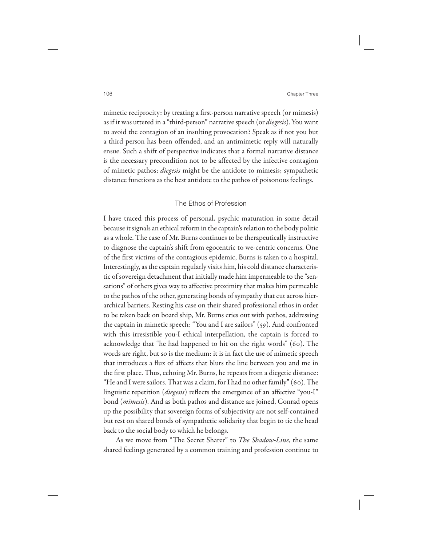mimetic reciprocity: by treating a first-person narrative speech (or mimesis) as if it was uttered in a "third-person" narrative speech (or *diegesis*). You want to avoid the contagion of an insulting provocation? Speak as if not you but a third person has been offended, and an antimimetic reply will naturally ensue. Such a shift of perspective indicates that a formal narrative distance is the necessary precondition not to be affected by the infective contagion of mimetic pathos; *diegesis* might be the antidote to mimesis; sympathetic distance functions as the best antidote to the pathos of poisonous feelings.

#### The Ethos of Profession

I have traced this process of personal, psychic maturation in some detail because it signals an ethical reform in the captain's relation to the body politic as a whole. The case of Mr. Burns continues to be therapeutically instructive to diagnose the captain's shift from egocentric to we-centric concerns. One of the first victims of the contagious epidemic, Burns is taken to a hospital. Interestingly, as the captain regularly visits him, his cold distance characteristic of sovereign detachment that initially made him impermeable to the "sensations" of others gives way to affective proximity that makes him permeable to the pathos of the other, generating bonds of sympathy that cut across hierarchical barriers. Resting his case on their shared professional ethos in order to be taken back on board ship, Mr. Burns cries out with pathos, addressing the captain in mimetic speech: "You and I are sailors" (59). And confronted with this irresistible you-I ethical interpellation, the captain is forced to acknowledge that "he had happened to hit on the right words" (60). The words are right, but so is the medium: it is in fact the use of mimetic speech that introduces a flux of affects that blurs the line between you and me in the first place. Thus, echoing Mr. Burns, he repeats from a diegetic distance: "He and I were sailors. That was a claim, for I had no other family" (60). The linguistic repetition (*diegesis*) reflects the emergence of an affective "you-I" bond (*mimesis*). And as both pathos and distance are joined, Conrad opens up the possibility that sovereign forms of subjectivity are not self-contained but rest on shared bonds of sympathetic solidarity that begin to tie the head back to the social body to which he belongs.

As we move from "The Secret Sharer" to *The Shadow-Line*, the same shared feelings generated by a common training and profession continue to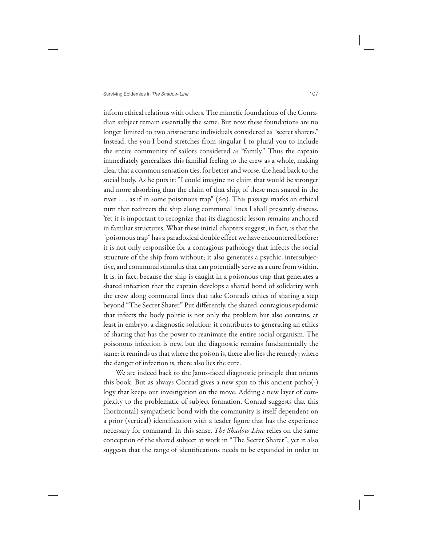inform ethical relations with others. The mimetic foundations of the Conradian subject remain essentially the same. But now these foundations are no longer limited to two aristocratic individuals considered as "secret sharers." Instead, the you-I bond stretches from singular I to plural you to include the entire community of sailors considered as "family." Thus the captain immediately generalizes this familial feeling to the crew as a whole, making clear that a common sensation ties, for better and worse, the head back to the social body. As he puts it: "I could imagine no claim that would be stronger and more absorbing than the claim of that ship, of these men snared in the river . . . as if in some poisonous trap" (60). This passage marks an ethical turn that redirects the ship along communal lines I shall presently discuss. Yet it is important to recognize that its diagnostic lesson remains anchored in familiar structures. What these initial chapters suggest, in fact, is that the "poisonous trap" has a paradoxical double effect we have encountered before: it is not only responsible for a contagious pathology that infects the social structure of the ship from without; it also generates a psychic, intersubjective, and communal stimulus that can potentially serve as a cure from within. It is, in fact, because the ship is caught in a poisonous trap that generates a shared infection that the captain develops a shared bond of solidarity with the crew along communal lines that take Conrad's ethics of sharing a step beyond "The Secret Sharer." Put differently, the shared, contagious epidemic that infects the body politic is not only the problem but also contains, at least in embryo, a diagnostic solution; it contributes to generating an ethics of sharing that has the power to reanimate the entire social organism. The poisonous infection is new, but the diagnostic remains fundamentally the same: it reminds us that where the poison is, there also lies the remedy; where the danger of infection is, there also lies the cure.

We are indeed back to the Janus-faced diagnostic principle that orients this book. But as always Conrad gives a new spin to this ancient patho(-) logy that keeps our investigation on the move. Adding a new layer of complexity to the problematic of subject formation, Conrad suggests that this (horizontal) sympathetic bond with the community is itself dependent on a prior (vertical) identification with a leader figure that has the experience necessary for command. In this sense, *The Shadow-Line* relies on the same conception of the shared subject at work in "The Secret Sharer"; yet it also suggests that the range of identifications needs to be expanded in order to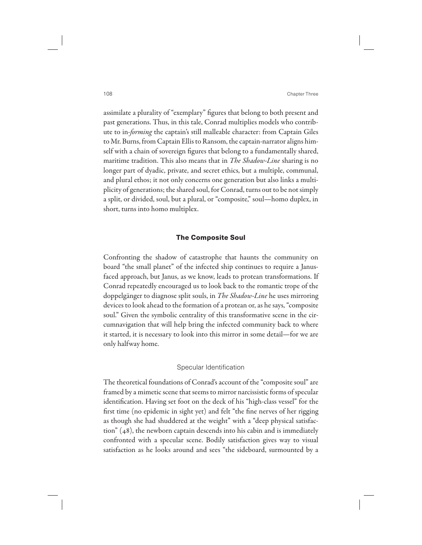assimilate a plurality of "exemplary" figures that belong to both present and past generations. Thus, in this tale, Conrad multiplies models who contribute to in-*forming* the captain's still malleable character: from Captain Giles to Mr. Burns, from Captain Ellis to Ransom, the captain-narrator aligns himself with a chain of sovereign figures that belong to a fundamentally shared, maritime tradition. This also means that in *The Shadow-Line* sharing is no longer part of dyadic, private, and secret ethics, but a multiple, communal, and plural ethos; it not only concerns one generation but also links a multiplicity of generations; the shared soul, for Conrad, turns out to be not simply a split, or divided, soul, but a plural, or "composite," soul—homo duplex, in short, turns into homo multiplex.

#### The Composite Soul

Confronting the shadow of catastrophe that haunts the community on board "the small planet" of the infected ship continues to require a Janusfaced approach, but Janus, as we know, leads to protean transformations. If Conrad repeatedly encouraged us to look back to the romantic trope of the doppelgänger to diagnose split souls, in *The Shadow-Line* he uses mirroring devices to look ahead to the formation of a protean or, as he says, "composite soul." Given the symbolic centrality of this transformative scene in the circumnavigation that will help bring the infected community back to where it started, it is necessary to look into this mirror in some detail—for we are only halfway home.

#### Specular Identification

The theoretical foundations of Conrad's account of the "composite soul" are framed by a mimetic scene that seems to mirror narcissistic forms of specular identification. Having set foot on the deck of his "high-class vessel" for the first time (no epidemic in sight yet) and felt "the fine nerves of her rigging as though she had shuddered at the weight" with a "deep physical satisfaction" (48), the newborn captain descends into his cabin and is immediately confronted with a specular scene. Bodily satisfaction gives way to visual satisfaction as he looks around and sees "the sideboard, surmounted by a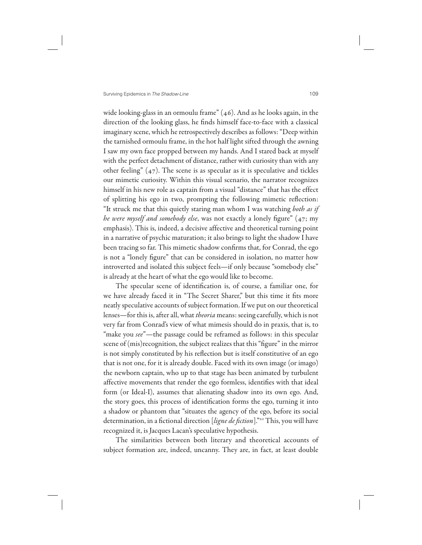wide looking-glass in an ormoulu frame" (46). And as he looks again, in the direction of the looking glass, he finds himself face-to-face with a classical imaginary scene, which he retrospectively describes as follows: "Deep within the tarnished ormoulu frame, in the hot half light sifted through the awning I saw my own face propped between my hands. And I stared back at myself with the perfect detachment of distance, rather with curiosity than with any other feeling" (47). The scene is as specular as it is speculative and tickles our mimetic curiosity. Within this visual scenario, the narrator recognizes himself in his new role as captain from a visual "distance" that has the effect of splitting his ego in two, prompting the following mimetic reflection: "It struck me that this quietly staring man whom I was watching *both as if he were myself and somebody else*, was not exactly a lonely figure" (47; my emphasis). This is, indeed, a decisive affective and theoretical turning point in a narrative of psychic maturation; it also brings to light the shadow I have been tracing so far. This mimetic shadow confirms that, for Conrad, the ego is not a "lonely figure" that can be considered in isolation, no matter how introverted and isolated this subject feels—if only because "somebody else" is already at the heart of what the ego would like to become.

The specular scene of identification is, of course, a familiar one, for we have already faced it in "The Secret Sharer," but this time it fits more neatly speculative accounts of subject formation. If we put on our theoretical lenses—for this is, after all, what *theoria* means: seeing carefully, which is not very far from Conrad's view of what mimesis should do in praxis, that is, to "make you *see*"—the passage could be reframed as follows: in this specular scene of (mis)recognition, the subject realizes that this "figure" in the mirror is not simply constituted by his reflection but is itself constitutive of an ego that is not one, for it is already double. Faced with its own image (or imago) the newborn captain, who up to that stage has been animated by turbulent affective movements that render the ego formless, identifies with that ideal form (or Ideal-I), assumes that alienating shadow into its own ego. And, the story goes, this process of identification forms the ego, turning it into a shadow or phantom that "situates the agency of the ego, before its social determination, in a fictional direction [*ligne de fiction*]."20 This, you will have recognized it, is Jacques Lacan's speculative hypothesis.

The similarities between both literary and theoretical accounts of subject formation are, indeed, uncanny. They are, in fact, at least double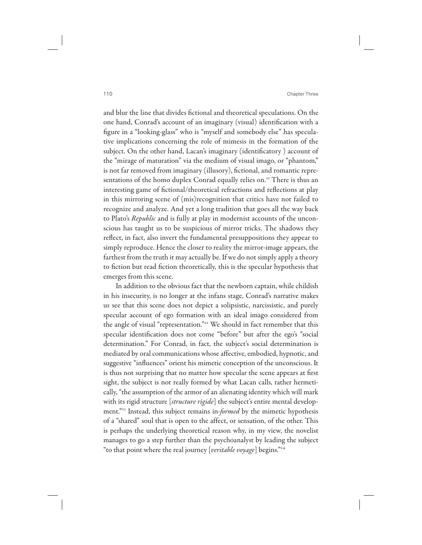and blur the line that divides fictional and theoretical speculations. On the one hand, Conrad's account of an imaginary (visual) identification with a figure in a "looking-glass" who is "myself and somebody else" has speculative implications concerning the role of mimesis in the formation of the subject. On the other hand, Lacan's imaginary (identificatory ) account of the "mirage of maturation" via the medium of visual imago, or "phantom," is not far removed from imaginary (illusory), fictional, and romantic representations of the homo duplex Conrad equally relies on.<sup>21</sup> There is thus an interesting game of fictional/theoretical refractions and reflections at play in this mirroring scene of (mis)recognition that critics have not failed to recognize and analyze. And yet a long tradition that goes all the way back to Plato's *Republic* and is fully at play in modernist accounts of the unconscious has taught us to be suspicious of mirror tricks. The shadows they reflect, in fact, also invert the fundamental presuppositions they appear to simply reproduce. Hence the closer to reality the mirror-image appears, the farthest from the truth it may actually be. If we do not simply apply a theory to fiction but read fiction theoretically, this is the specular hypothesis that emerges from this scene.

In addition to the obvious fact that the newborn captain, while childish in his insecurity, is no longer at the infans stage, Conrad's narrative makes us see that this scene does not depict a solipsistic, narcissistic, and purely specular account of ego formation with an ideal imago considered from the angle of visual "representation."22 We should in fact remember that this specular identification does not come "before" but after the ego's "social determination." For Conrad, in fact, the subject's social determination is mediated by oral communications whose affective, embodied, hypnotic, and suggestive "influences" orient his mimetic conception of the unconscious. It is thus not surprising that no matter how specular the scene appears at first sight, the subject is not really formed by what Lacan calls, rather hermetically, "the assumption of the armor of an alienating identity which will mark with its rigid structure [*structure rigide*] the subject's entire mental development."23 Instead, this subject remains in-*formed* by the mimetic hypothesis of a "shared" soul that is open to the affect, or sensation, of the other. This is perhaps the underlying theoretical reason why, in my view, the novelist manages to go a step further than the psychoanalyst by leading the subject "to that point where the real journey [*veritable voyage*] begins."<sup>24</sup>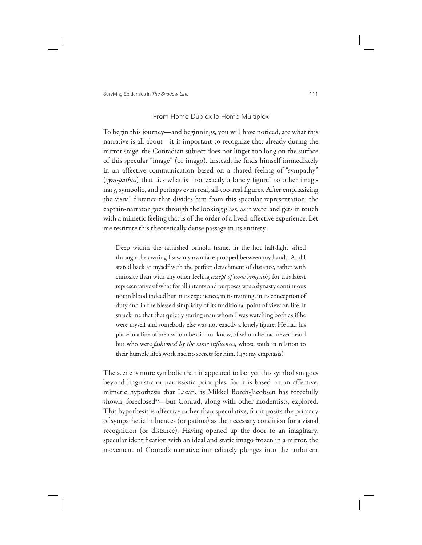#### From Homo Duplex to Homo Multiplex

To begin this journey—and beginnings, you will have noticed, are what this narrative is all about—it is important to recognize that already during the mirror stage, the Conradian subject does not linger too long on the surface of this specular "image" (or imago). Instead, he finds himself immediately in an affective communication based on a shared feeling of "sympathy" (*sym-pathos*) that ties what is "not exactly a lonely figure" to other imaginary, symbolic, and perhaps even real, all-too-real figures. After emphasizing the visual distance that divides him from this specular representation, the captain-narrator goes through the looking glass, as it were, and gets in touch with a mimetic feeling that is of the order of a lived, affective experience. Let me restitute this theoretically dense passage in its entirety:

Deep within the tarnished ormolu frame, in the hot half-light sifted through the awning I saw my own face propped between my hands. And I stared back at myself with the perfect detachment of distance, rather with curiosity than with any other feeling *except of some sympathy* for this latest representative of what for all intents and purposes was a dynasty continuous not in blood indeed but in its experience, in its training, in its conception of duty and in the blessed simplicity of its traditional point of view on life. It struck me that that quietly staring man whom I was watching both as if he were myself and somebody else was not exactly a lonely figure. He had his place in a line of men whom he did not know, of whom he had never heard but who were *fashioned by the same influences*, whose souls in relation to their humble life's work had no secrets for him. (47; my emphasis)

The scene is more symbolic than it appeared to be; yet this symbolism goes beyond linguistic or narcissistic principles, for it is based on an affective, mimetic hypothesis that Lacan, as Mikkel Borch-Jacobsen has forcefully shown, foreclosed<sup>25</sup>—but Conrad, along with other modernists, explored. This hypothesis is affective rather than speculative, for it posits the primacy of sympathetic influences (or pathos) as the necessary condition for a visual recognition (or distance). Having opened up the door to an imaginary, specular identification with an ideal and static imago frozen in a mirror, the movement of Conrad's narrative immediately plunges into the turbulent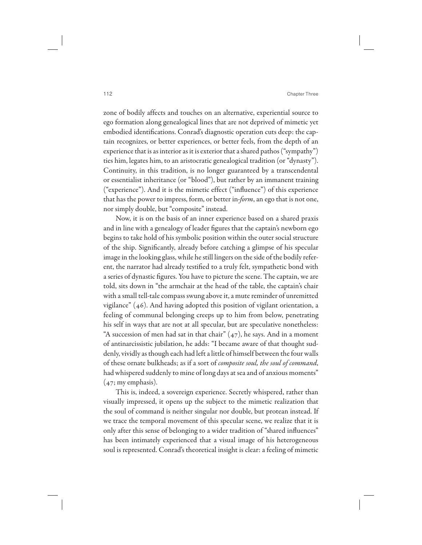zone of bodily affects and touches on an alternative, experiential source to ego formation along genealogical lines that are not deprived of mimetic yet embodied identifications. Conrad's diagnostic operation cuts deep: the captain recognizes, or better experiences, or better feels, from the depth of an experience that is as interior as it is exterior that a shared pathos ("sympathy") ties him, legates him, to an aristocratic genealogical tradition (or "dynasty"). Continuity, in this tradition, is no longer guaranteed by a transcendental or essentialist inheritance (or "blood"), but rather by an immanent training ("experience"). And it is the mimetic effect ("influence") of this experience that has the power to impress, form, or better in-*form*, an ego that is not one, nor simply double, but "composite" instead.

Now, it is on the basis of an inner experience based on a shared praxis and in line with a genealogy of leader figures that the captain's newborn ego begins to take hold of his symbolic position within the outer social structure of the ship. Significantly, already before catching a glimpse of his specular image in the looking glass, while he still lingers on the side of the bodily referent, the narrator had already testified to a truly felt, sympathetic bond with a series of dynastic figures. You have to picture the scene. The captain, we are told, sits down in "the armchair at the head of the table, the captain's chair with a small tell-tale compass swung above it, a mute reminder of unremitted vigilance" (46). And having adopted this position of vigilant orientation, a feeling of communal belonging creeps up to him from below, penetrating his self in ways that are not at all specular, but are speculative nonetheless: "A succession of men had sat in that chair"  $(47)$ , he says. And in a moment of antinarcissistic jubilation, he adds: "I became aware of that thought suddenly, vividly as though each had left a little of himself between the four walls of these ornate bulkheads; as if a sort of *composite soul, the soul of command*, had whispered suddenly to mine of long days at sea and of anxious moments"  $(47; \text{my emphasis}).$ 

This is, indeed, a sovereign experience. Secretly whispered, rather than visually impressed, it opens up the subject to the mimetic realization that the soul of command is neither singular nor double, but protean instead. If we trace the temporal movement of this specular scene, we realize that it is only after this sense of belonging to a wider tradition of "shared influences" has been intimately experienced that a visual image of his heterogeneous soul is represented. Conrad's theoretical insight is clear: a feeling of mimetic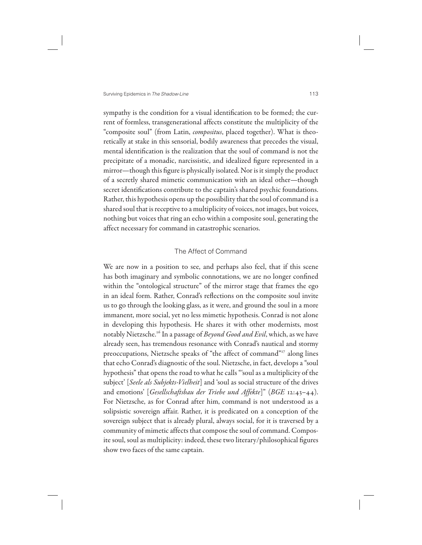sympathy is the condition for a visual identification to be formed; the current of formless, transgenerational affects constitute the multiplicity of the "composite soul" (from Latin, *compositus*, placed together). What is theoretically at stake in this sensorial, bodily awareness that precedes the visual, mental identification is the realization that the soul of command is not the precipitate of a monadic, narcissistic, and idealized figure represented in a mirror—though this figure is physically isolated. Nor is it simply the product of a secretly shared mimetic communication with an ideal other—though secret identifications contribute to the captain's shared psychic foundations. Rather, this hypothesis opens up the possibility that the soul of command is a shared soul that is receptive to a multiplicity of voices, not images, but voices, nothing but voices that ring an echo within a composite soul, generating the affect necessary for command in catastrophic scenarios.

#### The Affect of Command

We are now in a position to see, and perhaps also feel, that if this scene has both imaginary and symbolic connotations, we are no longer confined within the "ontological structure" of the mirror stage that frames the ego in an ideal form. Rather, Conrad's reflections on the composite soul invite us to go through the looking glass, as it were, and ground the soul in a more immanent, more social, yet no less mimetic hypothesis. Conrad is not alone in developing this hypothesis. He shares it with other modernists, most notably Nietzsche.26 In a passage of *Beyond Good and Evil*, which, as we have already seen, has tremendous resonance with Conrad's nautical and stormy preoccupations, Nietzsche speaks of "the affect of command"27 along lines that echo Conrad's diagnostic of the soul. Nietzsche, in fact, develops a "soul hypothesis" that opens the road to what he calls "'soul as a multiplicity of the subject' [*Seele als Subjekts-Vielheit*] and 'soul as social structure of the drives and emotions' [*Gesellschaftsbau der Triebe und Affekte*]" (*BGE* 12:43–44). For Nietzsche, as for Conrad after him, command is not understood as a solipsistic sovereign affair. Rather, it is predicated on a conception of the sovereign subject that is already plural, always social, for it is traversed by a community of mimetic affects that compose the soul of command. Composite soul, soul as multiplicity: indeed, these two literary/philosophical figures show two faces of the same captain.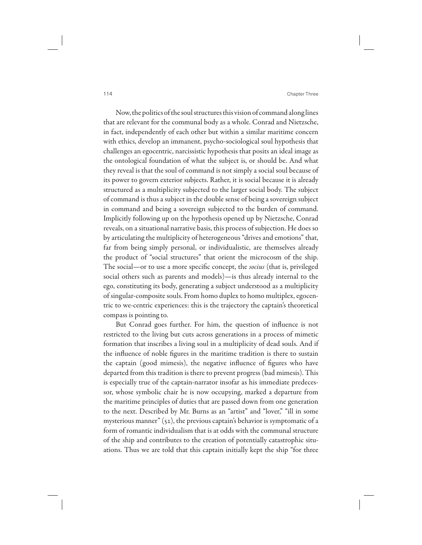114 Chapter Three

Now, the politics of the soul structures this vision of command along lines that are relevant for the communal body as a whole. Conrad and Nietzsche, in fact, independently of each other but within a similar maritime concern with ethics, develop an immanent, psycho-sociological soul hypothesis that challenges an egocentric, narcissistic hypothesis that posits an ideal image as the ontological foundation of what the subject is, or should be. And what they reveal is that the soul of command is not simply a social soul because of its power to govern exterior subjects. Rather, it is social because it is already structured as a multiplicity subjected to the larger social body. The subject of command is thus a subject in the double sense of being a sovereign subject in command and being a sovereign subjected to the burden of command. Implicitly following up on the hypothesis opened up by Nietzsche, Conrad reveals, on a situational narrative basis, this process of subjection. He does so by articulating the multiplicity of heterogeneous "drives and emotions" that, far from being simply personal, or individualistic, are themselves already the product of "social structures" that orient the microcosm of the ship. The social—or to use a more specific concept, the *socius* (that is, privileged social others such as parents and models)—is thus already internal to the ego, constituting its body, generating a subject understood as a multiplicity of singular-composite souls. From homo duplex to homo multiplex, egocentric to we-centric experiences: this is the trajectory the captain's theoretical compass is pointing to.

But Conrad goes further. For him, the question of influence is not restricted to the living but cuts across generations in a process of mimetic formation that inscribes a living soul in a multiplicity of dead souls. And if the influence of noble figures in the maritime tradition is there to sustain the captain (good mimesis), the negative influence of figures who have departed from this tradition is there to prevent progress (bad mimesis). This is especially true of the captain-narrator insofar as his immediate predecessor, whose symbolic chair he is now occupying, marked a departure from the maritime principles of duties that are passed down from one generation to the next. Described by Mr. Burns as an "artist" and "lover," "ill in some mysterious manner" (52), the previous captain's behavior is symptomatic of a form of romantic individualism that is at odds with the communal structure of the ship and contributes to the creation of potentially catastrophic situations. Thus we are told that this captain initially kept the ship "for three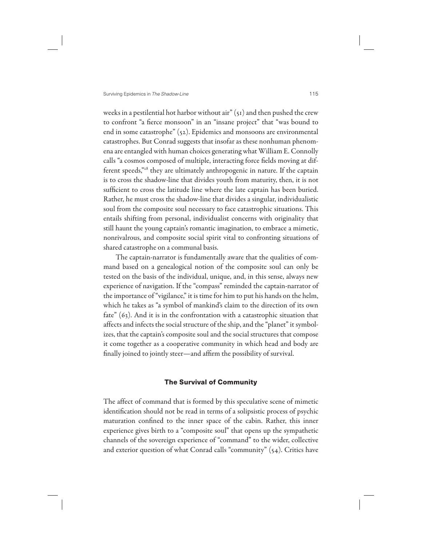weeks in a pestilential hot harbor without air"  $(y_1)$  and then pushed the crew to confront "a fierce monsoon" in an "insane project" that "was bound to end in some catastrophe"  $(52)$ . Epidemics and monsoons are environmental catastrophes. But Conrad suggests that insofar as these nonhuman phenomena are entangled with human choices generating what William E. Connolly calls "a cosmos composed of multiple, interacting force fields moving at different speeds,"28 they are ultimately anthropogenic in nature. If the captain is to cross the shadow-line that divides youth from maturity, then, it is not sufficient to cross the latitude line where the late captain has been buried. Rather, he must cross the shadow-line that divides a singular, individualistic soul from the composite soul necessary to face catastrophic situations. This entails shifting from personal, individualist concerns with originality that still haunt the young captain's romantic imagination, to embrace a mimetic, nonrivalrous, and composite social spirit vital to confronting situations of shared catastrophe on a communal basis.

The captain-narrator is fundamentally aware that the qualities of command based on a genealogical notion of the composite soul can only be tested on the basis of the individual, unique, and, in this sense, always new experience of navigation. If the "compass" reminded the captain-narrator of the importance of "vigilance," it is time for him to put his hands on the helm, which he takes as "a symbol of mankind's claim to the direction of its own fate" (63). And it is in the confrontation with a catastrophic situation that affects and infects the social structure of the ship, and the "planet" it symbolizes, that the captain's composite soul and the social structures that compose it come together as a cooperative community in which head and body are finally joined to jointly steer—and affirm the possibility of survival.

#### The Survival of Community

The affect of command that is formed by this speculative scene of mimetic identification should not be read in terms of a solipsistic process of psychic maturation confined to the inner space of the cabin. Rather, this inner experience gives birth to a "composite soul" that opens up the sympathetic channels of the sovereign experience of "command" to the wider, collective and exterior question of what Conrad calls "community"  $(54)$ . Critics have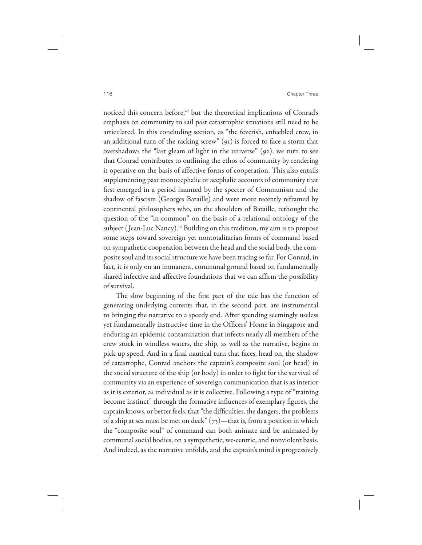noticed this concern before,<sup>29</sup> but the theoretical implications of Conrad's emphasis on community to sail past catastrophic situations still need to be articulated. In this concluding section, as "the feverish, enfeebled crew, in an additional turn of the racking screw" (91) is forced to face a storm that overshadows the "last gleam of light in the universe" (92), we turn to see that Conrad contributes to outlining the ethos of community by rendering it operative on the basis of affective forms of cooperation. This also entails supplementing past monocephalic or acephalic accounts of community that first emerged in a period haunted by the specter of Communism and the shadow of fascism (Georges Bataille) and were more recently reframed by continental philosophers who, on the shoulders of Bataille, rethought the question of the "in-common" on the basis of a relational ontology of the subject (Jean-Luc Nancy).<sup>30</sup> Building on this tradition, my aim is to propose some steps toward sovereign yet nontotalitarian forms of command based on sympathetic cooperation between the head and the social body, the composite soul and its social structure we have been tracing so far. For Conrad, in fact, it is only on an immanent, communal ground based on fundamentally shared infective and affective foundations that we can affirm the possibility of survival.

The slow beginning of the first part of the tale has the function of generating underlying currents that, in the second part, are instrumental to bringing the narrative to a speedy end. After spending seemingly useless yet fundamentally instructive time in the Officers' Home in Singapore and enduring an epidemic contamination that infects nearly all members of the crew stuck in windless waters, the ship, as well as the narrative, begins to pick up speed. And in a final nautical turn that faces, head on, the shadow of catastrophe, Conrad anchors the captain's composite soul (or head) in the social structure of the ship (or body) in order to fight for the survival of community via an experience of sovereign communication that is as interior as it is exterior, as individual as it is collective. Following a type of "training become instinct" through the formative influences of exemplary figures, the captain knows, or better feels, that "the difficulties, the dangers, the problems of a ship at sea must be met on deck"  $(73)$ —that is, from a position in which the "composite soul" of command can both animate and be animated by communal social bodies, on a sympathetic, we-centric, and nonviolent basis. And indeed, as the narrative unfolds, and the captain's mind is progressively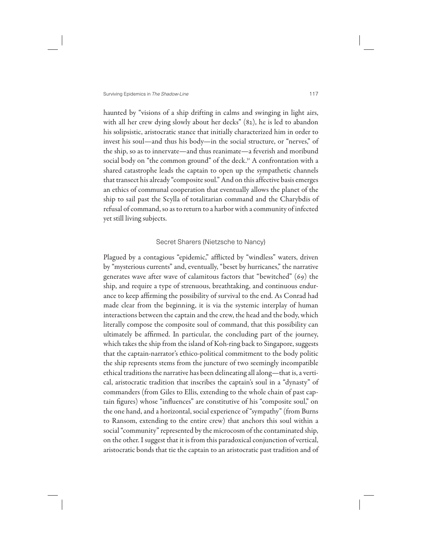haunted by "visions of a ship drifting in calms and swinging in light airs, with all her crew dying slowly about her decks" (82), he is led to abandon his solipsistic, aristocratic stance that initially characterized him in order to invest his soul—and thus his body—in the social structure, or "nerves," of the ship, so as to innervate—and thus reanimate—a feverish and moribund social body on "the common ground" of the deck.<sup>31</sup> A confrontation with a shared catastrophe leads the captain to open up the sympathetic channels that transect his already "composite soul." And on this affective basis emerges an ethics of communal cooperation that eventually allows the planet of the ship to sail past the Scylla of totalitarian command and the Charybdis of refusal of command, so as to return to a harbor with a community of infected yet still living subjects.

#### Secret Sharers (Nietzsche to Nancy)

Plagued by a contagious "epidemic," afflicted by "windless" waters, driven by "mysterious currents" and, eventually, "beset by hurricanes," the narrative generates wave after wave of calamitous factors that "bewitched" (69) the ship, and require a type of strenuous, breathtaking, and continuous endurance to keep affirming the possibility of survival to the end. As Conrad had made clear from the beginning, it is via the systemic interplay of human interactions between the captain and the crew, the head and the body, which literally compose the composite soul of command, that this possibility can ultimately be affirmed. In particular, the concluding part of the journey, which takes the ship from the island of Koh-ring back to Singapore, suggests that the captain-narrator's ethico-political commitment to the body politic the ship represents stems from the juncture of two seemingly incompatible ethical traditions the narrative has been delineating all along—that is, a vertical, aristocratic tradition that inscribes the captain's soul in a "dynasty" of commanders (from Giles to Ellis, extending to the whole chain of past captain figures) whose "influences" are constitutive of his "composite soul," on the one hand, and a horizontal, social experience of "sympathy" (from Burns to Ransom, extending to the entire crew) that anchors this soul within a social "community" represented by the microcosm of the contaminated ship, on the other. I suggest that it is from this paradoxical conjunction of vertical, aristocratic bonds that tie the captain to an aristocratic past tradition and of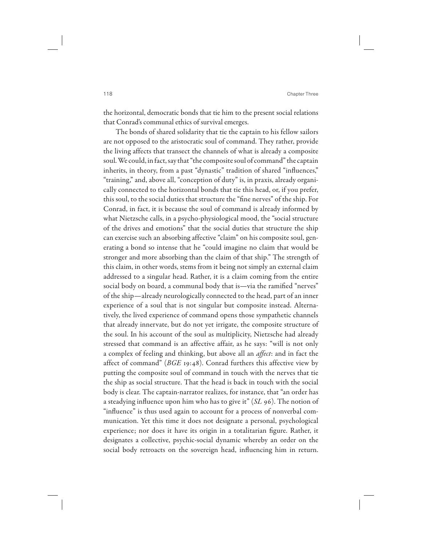the horizontal, democratic bonds that tie him to the present social relations that Conrad's communal ethics of survival emerges.

The bonds of shared solidarity that tie the captain to his fellow sailors are not opposed to the aristocratic soul of command. They rather, provide the living affects that transect the channels of what is already a composite soul. We could, in fact, say that "the composite soul of command" the captain inherits, in theory, from a past "dynastic" tradition of shared "influences," "training," and, above all, "conception of duty" is, in praxis, already organically connected to the horizontal bonds that tie this head, or, if you prefer, this soul, to the social duties that structure the "fine nerves" of the ship. For Conrad, in fact, it is because the soul of command is already informed by what Nietzsche calls, in a psycho-physiological mood, the "social structure of the drives and emotions" that the social duties that structure the ship can exercise such an absorbing affective "claim" on his composite soul, generating a bond so intense that he "could imagine no claim that would be stronger and more absorbing than the claim of that ship." The strength of this claim, in other words, stems from it being not simply an external claim addressed to a singular head. Rather, it is a claim coming from the entire social body on board, a communal body that is—via the ramified "nerves" of the ship—already neurologically connected to the head, part of an inner experience of a soul that is not singular but composite instead. Alternatively, the lived experience of command opens those sympathetic channels that already innervate, but do not yet irrigate, the composite structure of the soul. In his account of the soul as multiplicity, Nietzsche had already stressed that command is an affective affair, as he says: "will is not only a complex of feeling and thinking, but above all an *affect*: and in fact the affect of command" (*BGE* 19:48). Conrad furthers this affective view by putting the composite soul of command in touch with the nerves that tie the ship as social structure. That the head is back in touch with the social body is clear. The captain-narrator realizes, for instance, that "an order has a steadying influence upon him who has to give it" (*SL* 96). The notion of "influence" is thus used again to account for a process of nonverbal communication. Yet this time it does not designate a personal, psychological experience; nor does it have its origin in a totalitarian figure. Rather, it designates a collective, psychic-social dynamic whereby an order on the social body retroacts on the sovereign head, influencing him in return.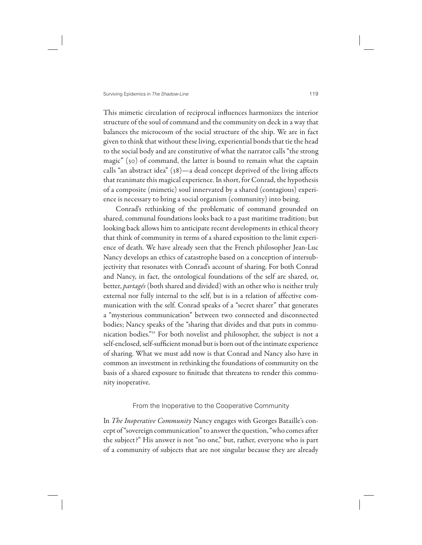This mimetic circulation of reciprocal influences harmonizes the interior structure of the soul of command and the community on deck in a way that balances the microcosm of the social structure of the ship. We are in fact given to think that without these living, experiential bonds that tie the head to the social body and are constitutive of what the narrator calls "the strong magic" (30) of command, the latter is bound to remain what the captain calls "an abstract idea" (38)—a dead concept deprived of the living affects that reanimate this magical experience. In short, for Conrad, the hypothesis of a composite (mimetic) soul innervated by a shared (contagious) experience is necessary to bring a social organism (community) into being.

Conrad's rethinking of the problematic of command grounded on shared, communal foundations looks back to a past maritime tradition; but looking back allows him to anticipate recent developments in ethical theory that think of community in terms of a shared exposition to the limit experience of death. We have already seen that the French philosopher Jean-Luc Nancy develops an ethics of catastrophe based on a conception of intersubjectivity that resonates with Conrad's account of sharing. For both Conrad and Nancy, in fact, the ontological foundations of the self are shared, or, better, *partagés* (both shared and divided) with an other who is neither truly external nor fully internal to the self, but is in a relation of affective communication with the self. Conrad speaks of a "secret sharer" that generates a "mysterious communication" between two connected and disconnected bodies; Nancy speaks of the "sharing that divides and that puts in communication bodies."32 For both novelist and philosopher, the subject is not a self-enclosed, self-sufficient monad but is born out of the intimate experience of sharing. What we must add now is that Conrad and Nancy also have in common an investment in rethinking the foundations of community on the basis of a shared exposure to finitude that threatens to render this community inoperative.

#### From the Inoperative to the Cooperative Community

In *The Inoperative Community* Nancy engages with Georges Bataille's concept of "sovereign communication" to answer the question, "who comes after the subject?" His answer is not "no one," but, rather, everyone who is part of a community of subjects that are not singular because they are already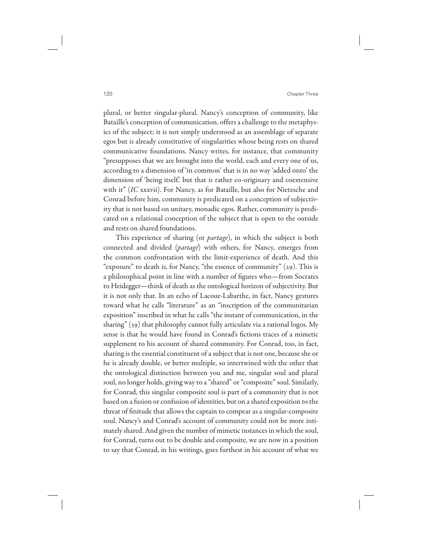plural, or better singular-plural. Nancy's conception of community, like Bataille's conception of communication, offers a challenge to the metaphysics of the subject; it is not simply understood as an assemblage of separate egos but is already constitutive of singularities whose being rests on shared communicative foundations. Nancy writes, for instance, that community "presupposes that we are brought into the world, each and every one of us, according to a dimension of 'in common' that is in no way 'added onto' the dimension of 'being itself, but that is rather co-originary and coextensive with it" (*IC* xxxvii). For Nancy, as for Bataille, but also for Nietzsche and Conrad before him, community is predicated on a conception of subjectivity that is not based on unitary, monadic egos. Rather, community is predicated on a relational conception of the subject that is open to the outside and rests on shared foundations.

This experience of sharing (or *partage*), in which the subject is both connected and divided (*partagé*) with others, for Nancy, emerges from the common confrontation with the limit-experience of death. And this "exposure" to death is, for Nancy, "the essence of community" (29). This is a philosophical point in line with a number of figures who—from Socrates to Heidegger—think of death as the ontological horizon of subjectivity. But it is not only that. In an echo of Lacoue-Labarthe, in fact, Nancy gestures toward what he calls "literature" as an "inscription of the communitarian exposition" inscribed in what he calls "the instant of communication, in the sharing" (39) that philosophy cannot fully articulate via a rational logos. My sense is that he would have found in Conrad's fictions traces of a mimetic supplement to his account of shared community. For Conrad, too, in fact, sharing is the essential constituent of a subject that is not one, because she or he is already double, or better multiple, so intertwined with the other that the ontological distinction between you and me, singular soul and plural soul, no longer holds, giving way to a "shared" or "composite" soul. Similarly, for Conrad, this singular composite soul is part of a community that is not based on a fusion or confusion of identities, but on a shared exposition to the threat of finitude that allows the captain to compear as a singular-composite soul. Nancy's and Conrad's account of community could not be more intimately shared. And given the number of mimetic instances in which the soul, for Conrad, turns out to be double and composite, we are now in a position to say that Conrad, in his writings, goes furthest in his account of what we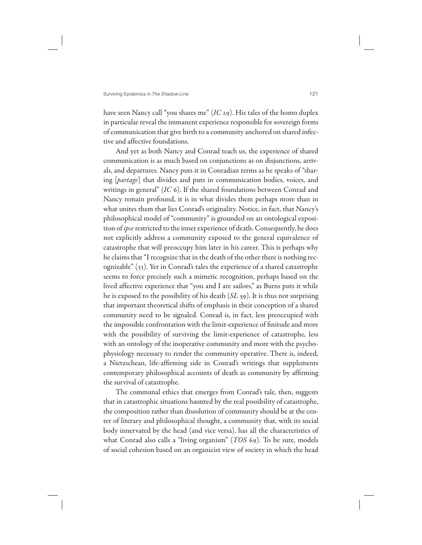have seen Nancy call "you shares me" (*IC* 29). His tales of the homo duplex in particular reveal the immanent experience responsible for sovereign forms of communication that give birth to a community anchored on shared infective and affective foundations.

And yet as both Nancy and Conrad teach us, the experience of shared communication is as much based on conjunctions as on disjunctions, arrivals, and departures. Nancy puts it in Conradian terms as he speaks of "sharing [*partage*] that divides and puts in communication bodies, voices, and writings in general" (*IC* 6). If the shared foundations between Conrad and Nancy remain profound, it is in what divides them perhaps more than in what unites them that lies Conrad's originality. Notice, in fact, that Nancy's philosophical model of "community" is grounded on an ontological exposition of *ipse* restricted to the inner experience of death. Consequently, he does not explicitly address a community exposed to the general equivalence of catastrophe that will preoccupy him later in his career. This is perhaps why he claims that "I recognize that in the death of the other there is nothing recognizable" (33). Yet in Conrad's tales the experience of a shared catastrophe seems to force precisely such a mimetic recognition, perhaps based on the lived affective experience that "you and I are sailors," as Burns puts it while he is exposed to the possibility of his death (*SL* 59). It is thus not surprising that important theoretical shifts of emphasis in their conception of a shared community need to be signaled. Conrad is, in fact, less preoccupied with the impossible confrontation with the limit-experience of finitude and more with the possibility of surviving the limit-experience of catastrophe, less with an ontology of the inoperative community and more with the psychophysiology necessary to render the community operative. There is, indeed, a Nietzschean, life-affirming side in Conrad's writings that supplements contemporary philosophical accounts of death as community by affirming the survival of catastrophe.

The communal ethics that emerges from Conrad's tale, then, suggests that in catastrophic situations haunted by the real possibility of catastrophe, the composition rather than dissolution of community should be at the center of literary and philosophical thought, a community that, with its social body innervated by the head (and vice versa), has all the characteristics of what Conrad also calls a "living organism" (*TOS* 69). To be sure, models of social cohesion based on an organicist view of society in which the head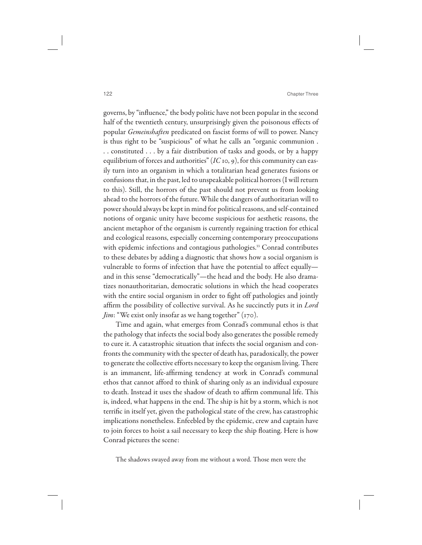governs, by "influence," the body politic have not been popular in the second half of the twentieth century, unsurprisingly given the poisonous effects of popular *Gemeinshaften* predicated on fascist forms of will to power. Nancy is thus right to be "suspicious" of what he calls an "organic communion . . . constituted . . . by a fair distribution of tasks and goods, or by a happy equilibrium of forces and authorities" (*IC* 10, 9), for this community can easily turn into an organism in which a totalitarian head generates fusions or confusions that, in the past, led to unspeakable political horrors (I will return to this). Still, the horrors of the past should not prevent us from looking ahead to the horrors of the future. While the dangers of authoritarian will to power should always be kept in mind for political reasons, and self-contained notions of organic unity have become suspicious for aesthetic reasons, the ancient metaphor of the organism is currently regaining traction for ethical and ecological reasons, especially concerning contemporary preoccupations with epidemic infections and contagious pathologies.<sup>33</sup> Conrad contributes to these debates by adding a diagnostic that shows how a social organism is vulnerable to forms of infection that have the potential to affect equally and in this sense "democratically"—the head and the body. He also dramatizes nonauthoritarian, democratic solutions in which the head cooperates with the entire social organism in order to fight off pathologies and jointly affirm the possibility of collective survival. As he succinctly puts it in *Lord Jim*: "We exist only insofar as we hang together" (170).

Time and again, what emerges from Conrad's communal ethos is that the pathology that infects the social body also generates the possible remedy to cure it. A catastrophic situation that infects the social organism and confronts the community with the specter of death has, paradoxically, the power to generate the collective efforts necessary to keep the organism living. There is an immanent, life-affirming tendency at work in Conrad's communal ethos that cannot afford to think of sharing only as an individual exposure to death. Instead it uses the shadow of death to affirm communal life. This is, indeed, what happens in the end. The ship is hit by a storm, which is not terrific in itself yet, given the pathological state of the crew, has catastrophic implications nonetheless. Enfeebled by the epidemic, crew and captain have to join forces to hoist a sail necessary to keep the ship floating. Here is how Conrad pictures the scene:

The shadows swayed away from me without a word. Those men were the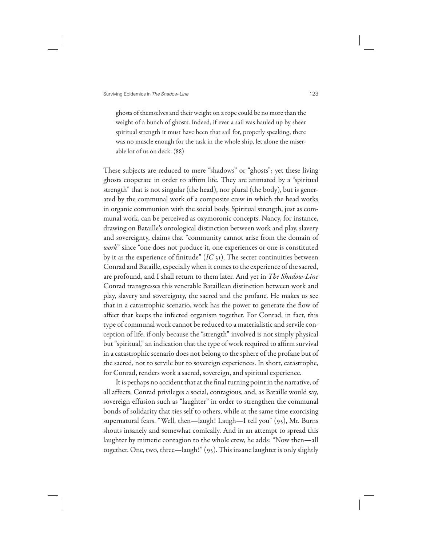ghosts of themselves and their weight on a rope could be no more than the weight of a bunch of ghosts. Indeed, if ever a sail was hauled up by sheer spiritual strength it must have been that sail for, properly speaking, there was no muscle enough for the task in the whole ship, let alone the miserable lot of us on deck. (88)

These subjects are reduced to mere "shadows" or "ghosts"; yet these living ghosts cooperate in order to affirm life. They are animated by a "spiritual strength" that is not singular (the head), nor plural (the body), but is generated by the communal work of a composite crew in which the head works in organic communion with the social body. Spiritual strength, just as communal work, can be perceived as oxymoronic concepts. Nancy, for instance, drawing on Bataille's ontological distinction between work and play, slavery and sovereignty, claims that "community cannot arise from the domain of *work*" since "one does not produce it, one experiences or one is constituted by it as the experience of finitude" (*IC* 31). The secret continuities between Conrad and Bataille, especially when it comes to the experience of the sacred, are profound, and I shall return to them later. And yet in *The Shadow-Line* Conrad transgresses this venerable Bataillean distinction between work and play, slavery and sovereignty, the sacred and the profane. He makes us see that in a catastrophic scenario, work has the power to generate the flow of affect that keeps the infected organism together. For Conrad, in fact, this type of communal work cannot be reduced to a materialistic and servile conception of life, if only because the "strength" involved is not simply physical but "spiritual," an indication that the type of work required to affirm survival in a catastrophic scenario does not belong to the sphere of the profane but of the sacred, not to servile but to sovereign experiences. In short, catastrophe, for Conrad, renders work a sacred, sovereign, and spiritual experience.

It is perhaps no accident that at the final turning point in the narrative, of all affects, Conrad privileges a social, contagious, and, as Bataille would say, sovereign effusion such as "laughter" in order to strengthen the communal bonds of solidarity that ties self to others, while at the same time exorcising supernatural fears. "Well, then—laugh! Laugh—I tell you" (95), Mr. Burns shouts insanely and somewhat comically. And in an attempt to spread this laughter by mimetic contagion to the whole crew, he adds: "Now then—all together. One, two, three—laugh!" (95). This insane laughter is only slightly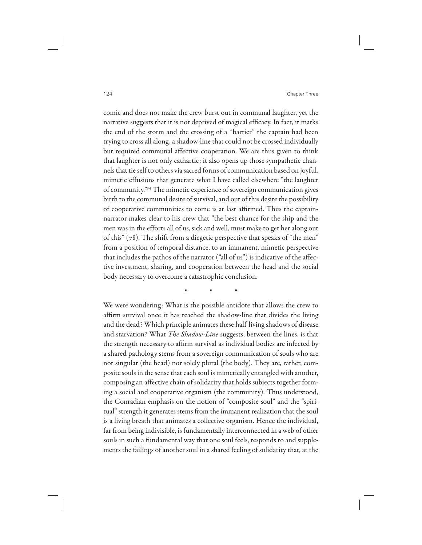124 Chapter Three

comic and does not make the crew burst out in communal laughter, yet the narrative suggests that it is not deprived of magical efficacy. In fact, it marks the end of the storm and the crossing of a "barrier" the captain had been trying to cross all along, a shadow-line that could not be crossed individually but required communal affective cooperation. We are thus given to think that laughter is not only cathartic; it also opens up those sympathetic channels that tie self to others via sacred forms of communication based on joyful, mimetic effusions that generate what I have called elsewhere "the laughter of community."34 The mimetic experience of sovereign communication gives birth to the communal desire of survival, and out of this desire the possibility of cooperative communities to come is at last affirmed. Thus the captainnarrator makes clear to his crew that "the best chance for the ship and the men was in the efforts all of us, sick and well, must make to get her along out of this" (78). The shift from a diegetic perspective that speaks of "the men" from a position of temporal distance, to an immanent, mimetic perspective that includes the pathos of the narrator ("all of us") is indicative of the affective investment, sharing, and cooperation between the head and the social body necessary to overcome a catastrophic conclusion.

■ ■ ■

We were wondering: What is the possible antidote that allows the crew to affirm survival once it has reached the shadow-line that divides the living and the dead? Which principle animates these half-living shadows of disease and starvation? What *The Shadow-Line* suggests, between the lines, is that the strength necessary to affirm survival as individual bodies are infected by a shared pathology stems from a sovereign communication of souls who are not singular (the head) nor solely plural (the body). They are, rather, composite souls in the sense that each soul is mimetically entangled with another, composing an affective chain of solidarity that holds subjects together forming a social and cooperative organism (the community). Thus understood, the Conradian emphasis on the notion of "composite soul" and the "spiritual" strength it generates stems from the immanent realization that the soul is a living breath that animates a collective organism. Hence the individual, far from being indivisible, is fundamentally interconnected in a web of other souls in such a fundamental way that one soul feels, responds to and supplements the failings of another soul in a shared feeling of solidarity that, at the